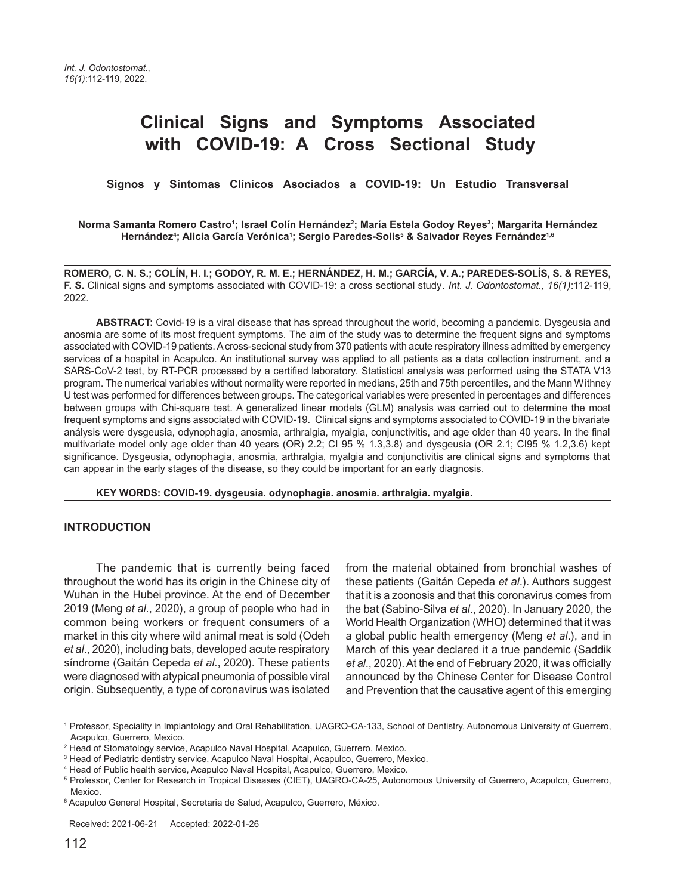# **Clinical Signs and Symptoms Associated with COVID-19: A Cross Sectional Study**

 **Signos y Síntomas Clínicos Asociados a COVID-19: Un Estudio Transversal**

#### Norma Samanta Romero Castro<sup>1</sup>; Israel Colín Hernández<sup>2</sup>; María Estela Godoy Reyes<sup>3</sup>; Margarita Hernández **Hernández4 ; Alicia García Verónica1 ; Sergio Paredes-Solis5 & Salvador Reyes Fernández1,6**

**ROMERO, C. N. S.; COLÍN, H. I.; GODOY, R. M. E.; HERNÁNDEZ, H. M.; GARCÍA, V. A.; PAREDES-SOLÍS, S. & REYES, F. S.** Clinical signs and symptoms associated with COVID-19: a cross sectional study. Int. J. Odontostomat., 16(1):112-119, 2022.

**ABSTRACT:** Covid-19 is a viral disease that has spread throughout the world, becoming a pandemic. Dysgeusia and anosmia are some of its most frequent symptoms. The aim of the study was to determine the frequent signs and symptoms associated with COVID-19 patients. A cross-secional study from 370 patients with acute respiratory illness admitted by emergency services of a hospital in Acapulco. An institutional survey was applied to all patients as a data collection instrument, and a SARS-CoV-2 test, by RT-PCR processed by a certified laboratory. Statistical analysis was performed using the STATA V13 program. The numerical variables without normality were reported in medians, 25th and 75th percentiles, and the Mann Withney U test was performed for differences between groups. The categorical variables were presented in percentages and differences between groups with Chi-square test. A generalized linear models (GLM) analysis was carried out to determine the most frequent symptoms and signs associated with COVID-19. Clinical signs and symptoms associated to COVID-19 in the bivariate análysis were dysgeusia, odynophagia, anosmia, arthralgia, myalgia, conjunctivitis, and age older than 40 years. In the final multivariate model only age older than 40 years (OR) 2.2; CI 95 % 1.3,3.8) and dysgeusia (OR 2.1; CI95 % 1.2,3.6) kept significance. Dysgeusia, odynophagia, anosmia, arthralgia, myalgia and conjunctivitis are clinical signs and symptoms that can appear in the early stages of the disease, so they could be important for an early diagnosis.

**KEY WORDS: COVID-19. dysgeusia. odynophagia. anosmia. arthralgia. myalgia.**

#### **INTRODUCTION**

The pandemic that is currently being faced throughout the world has its origin in the Chinese city of Wuhan in the Hubei province. At the end of December 2019 (Meng et al., 2020), a group of people who had in common being workers or frequent consumers of a market in this city where wild animal meat is sold (Odeh et al., 2020), including bats, developed acute respiratory síndrome (Gaitán Cepeda et al., 2020). These patients were diagnosed with atypical pneumonia of possible viral origin. Subsequently, a type of coronavirus was isolated

from the material obtained from bronchial washes of these patients (Gaitán Cepeda et al.). Authors suggest that it is a zoonosis and that this coronavirus comes from the bat (Sabino-Silva et al., 2020). In January 2020, the World Health Organization (WHO) determined that it was a global public health emergency (Meng et al.), and in March of this year declared it a true pandemic (Saddik et al., 2020). At the end of February 2020, it was officially announced by the Chinese Center for Disease Control and Prevention that the causative agent of this emerging

Received: 2021-06-21 Accepted: 2022-01-26

<sup>1</sup> Professor, Speciality in Implantology and Oral Rehabilitation, UAGRO-CA-133, School of Dentistry, Autonomous University of Guerrero, Acapulco, Guerrero, Mexico.

<sup>2</sup> Head of Stomatology service, Acapulco Naval Hospital, Acapulco, Guerrero, Mexico.

<sup>&</sup>lt;sup>3</sup> Head of Pediatric dentistry service, Acapulco Naval Hospital, Acapulco, Guerrero, Mexico.

<sup>4</sup> Head of Public health service, Acapulco Naval Hospital, Acapulco, Guerrero, Mexico.

<sup>5</sup> Professor, Center for Research in Tropical Diseases (CIET), UAGRO-CA-25, Autonomous University of Guerrero, Acapulco, Guerrero, Mexico.

<sup>6</sup> Acapulco General Hospital, Secretaria de Salud, Acapulco, Guerrero, México.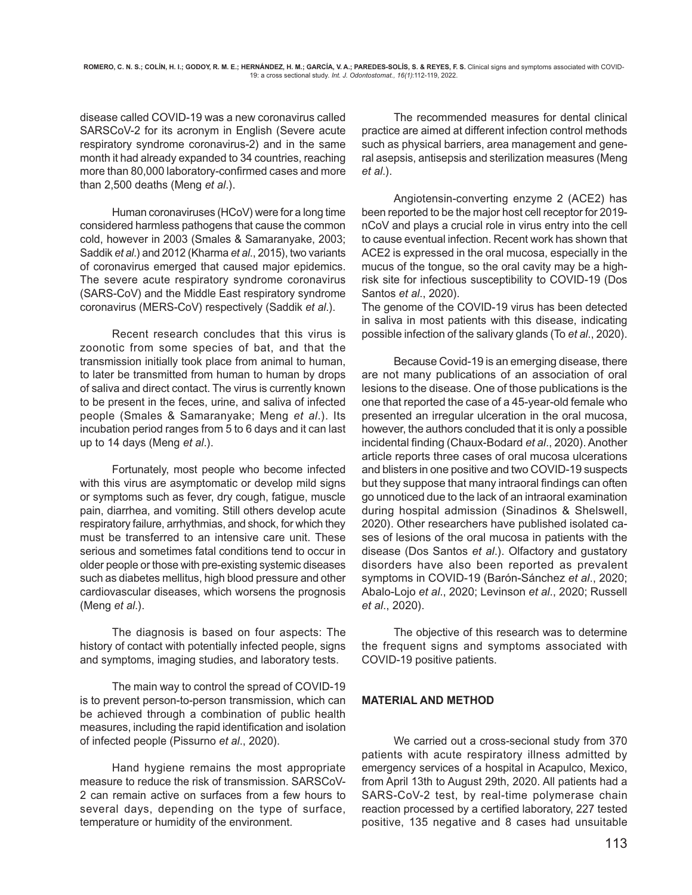disease called COVID-19 was a new coronavirus called SARSCoV-2 for its acronym in English (Severe acute respiratory syndrome coronavirus-2) and in the same month it had already expanded to 34 countries, reaching more than 80,000 laboratory-confirmed cases and more than 2,500 deaths (Meng et al.).

Human coronaviruses (HCoV) were for a long time considered harmless pathogens that cause the common cold, however in 2003 (Smales & Samaranyake, 2003; Saddik et al.) and 2012 (Kharma et al., 2015), two variants of coronavirus emerged that caused major epidemics. The severe acute respiratory syndrome coronavirus (SARS-CoV) and the Middle East respiratory syndrome coronavirus (MERS-CoV) respectively (Saddik et al.).

Recent research concludes that this virus is zoonotic from some species of bat, and that the transmission initially took place from animal to human, to later be transmitted from human to human by drops of saliva and direct contact. The virus is currently known to be present in the feces, urine, and saliva of infected people (Smales & Samaranyake; Meng et al.). Its incubation period ranges from 5 to 6 days and it can last up to 14 days (Meng et al.).

Fortunately, most people who become infected with this virus are asymptomatic or develop mild signs or symptoms such as fever, dry cough, fatigue, muscle pain, diarrhea, and vomiting. Still others develop acute respiratory failure, arrhythmias, and shock, for which they must be transferred to an intensive care unit. These serious and sometimes fatal conditions tend to occur in older people or those with pre-existing systemic diseases such as diabetes mellitus, high blood pressure and other cardiovascular diseases, which worsens the prognosis (Meng et al.).

The diagnosis is based on four aspects: The history of contact with potentially infected people, signs and symptoms, imaging studies, and laboratory tests.

The main way to control the spread of COVID-19 is to prevent person-to-person transmission, which can be achieved through a combination of public health measures, including the rapid identification and isolation of infected people (Pissurno et al., 2020).

Hand hygiene remains the most appropriate measure to reduce the risk of transmission. SARSCoV-2 can remain active on surfaces from a few hours to several days, depending on the type of surface, temperature or humidity of the environment.

The recommended measures for dental clinical practice are aimed at different infection control methods such as physical barriers, area management and general asepsis, antisepsis and sterilization measures (Meng et al.).

Angiotensin-converting enzyme 2 (ACE2) has been reported to be the major host cell receptor for 2019 nCoV and plays a crucial role in virus entry into the cell to cause eventual infection. Recent work has shown that ACE2 is expressed in the oral mucosa, especially in the mucus of the tongue, so the oral cavity may be a highrisk site for infectious susceptibility to COVID-19 (Dos Santos et al., 2020).

The genome of the COVID-19 virus has been detected in saliva in most patients with this disease, indicating possible infection of the salivary glands (To et al., 2020).

Because Covid-19 is an emerging disease, there are not many publications of an association of oral lesions to the disease. One of those publications is the one that reported the case of a 45-year-old female who presented an irregular ulceration in the oral mucosa, however, the authors concluded that it is only a possible incidental finding (Chaux-Bodard et al., 2020). Another article reports three cases of oral mucosa ulcerations and blisters in one positive and two COVID-19 suspects but they suppose that many intraoral findings can often go unnoticed due to the lack of an intraoral examination during hospital admission (Sinadinos & Shelswell, 2020). Other researchers have published isolated cases of lesions of the oral mucosa in patients with the disease (Dos Santos et al.). Olfactory and gustatory disorders have also been reported as prevalent symptoms in COVID-19 (Barón-Sánchez et al., 2020; Abalo-Lojo et al., 2020; Levinson et al., 2020; Russell et al., 2020).

The objective of this research was to determine the frequent signs and symptoms associated with COVID-19 positive patients.

# **MATERIAL AND METHOD**

We carried out a cross-secional study from 370 patients with acute respiratory illness admitted by emergency services of a hospital in Acapulco, Mexico, from April 13th to August 29th, 2020. All patients had a SARS-CoV-2 test, by real-time polymerase chain reaction processed by a certified laboratory, 227 tested positive, 135 negative and 8 cases had unsuitable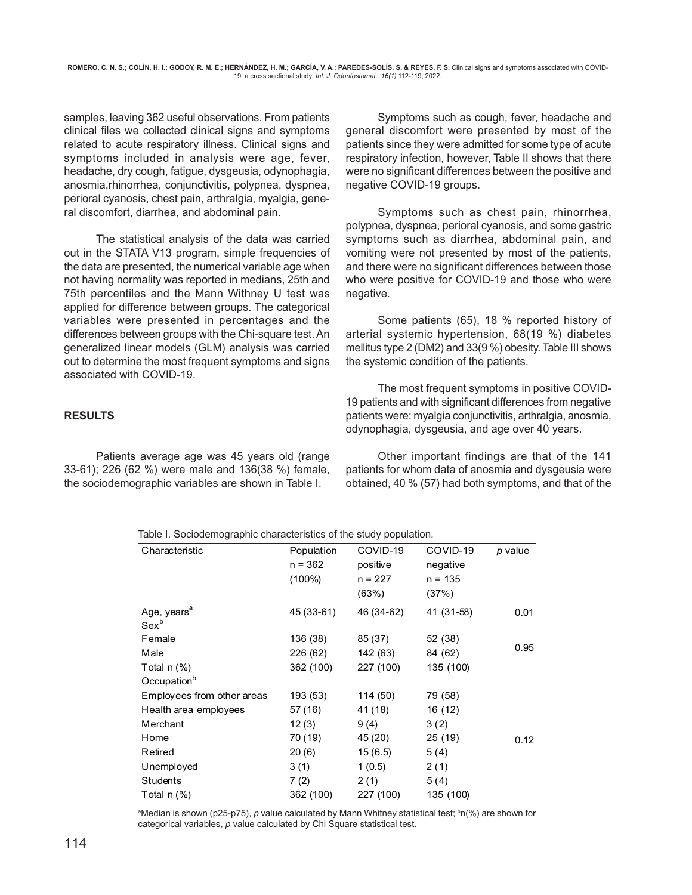samples, leaving 362 useful observations. From patients clinical files we collected clinical signs and symptoms related to acute respiratory illness. Clinical signs and symptoms included in analysis were age, fever, headache, dry cough, fatigue, dysgeusia, odynophagia, anosmia,rhinorrhea, conjunctivitis, polypnea, dyspnea, perioral cyanosis, chest pain, arthralgia, myalgia, general discomfort, diarrhea, and abdominal pain.

The statistical analysis of the data was carried out in the STATA V13 program, simple frequencies of the data are presented, the numerical variable age when not having normality was reported in medians, 25th and 75th percentiles and the Mann Withney U test was applied for difference between groups. The categorical variables were presented in percentages and the differences between groups with the Chi-square test. An generalized linear models (GLM) analysis was carried out to determine the most frequent symptoms and signs associated with COVID-19.

# **RESULTS**

Patients average age was 45 years old (range 33-61); 226 (62 %) were male and 136(38 %) female, the sociodemographic variables are shown in Table I.

Symptoms such as cough, fever, headache and general discomfort were presented by most of the patients since they were admitted for some type of acute respiratory infection, however, Table II shows that there were no significant differences between the positive and negative COVID-19 groups.

Symptoms such as chest pain, rhinorrhea, polypnea, dyspnea, perioral cyanosis, and some gastric symptoms such as diarrhea, abdominal pain, and vomiting were not presented by most of the patients, and there were no significant differences between those who were positive for COVID-19 and those who were negative.

Some patients (65), 18 % reported history of arterial systemic hypertension, 68(19 %) diabetes mellitus type 2 (DM2) and 33(9 %) obesity. Table III shows the systemic condition of the patients.

The most frequent symptoms in positive COVID-19 patients and with significant differences from negative patients were: myalgia conjunctivitis, arthralgia, anosmia, odynophagia, dysgeusia, and age over 40 years.

Other important findings are that of the 141 patients for whom data of anosmia and dysgeusia were obtained, 40 % (57) had both symptoms, and that of the

|  | Table I. Sociodemographic characteristics of the study population. |  |  |
|--|--------------------------------------------------------------------|--|--|
|  |                                                                    |  |  |

| Characteristic                              | Population<br>$n = 362$<br>$(100\%)$ | COVID-19<br>positive<br>$n = 227$<br>(63%) | COVID-19<br>negative<br>$n = 135$<br>(37%) | p value |
|---------------------------------------------|--------------------------------------|--------------------------------------------|--------------------------------------------|---------|
| Age, years <sup>a</sup><br>Sex <sup>b</sup> | 45 (33-61)                           | 46 (34-62)                                 | 41 (31-58)                                 | 0.01    |
| Female                                      | 136 (38)                             | 85 (37)                                    | 52 (38)                                    |         |
| Male                                        | 226 (62)                             | 142 (63)                                   | 84 (62)                                    | 0.95    |
| Total $n$ (%)                               | 362 (100)                            | 227 (100)                                  | 135 (100)                                  |         |
| Occupation <sup>b</sup>                     |                                      |                                            |                                            |         |
| Employees from other areas                  | 193 (53)                             | 114 (50)                                   | 79 (58)                                    |         |
| Health area employees                       | 57 (16)                              | 41 (18)                                    | 16 (12)                                    |         |
| Merchant                                    | 12(3)                                | 9(4)                                       | 3(2)                                       |         |
| Home                                        | 70 (19)                              | 45 (20)                                    | 25 (19)                                    | 0.12    |
| Retired                                     | 20(6)                                | 15(6.5)                                    | 5(4)                                       |         |
| Unemployed                                  | 3(1)                                 | 1(0.5)                                     | 2(1)                                       |         |
| <b>Students</b>                             | 7(2)                                 | 2(1)                                       | 5(4)                                       |         |
| Total $n$ (%)                               | 362 (100)                            | 227 (100)                                  | 135 (100)                                  |         |
|                                             |                                      |                                            |                                            |         |

ªMedian is shown (p25-p75), *p* value calculated by Mann Whitney statistical test; <sup>b</sup>n(%) are shown for categorical variables, p value calculated by Chi Square statistical test.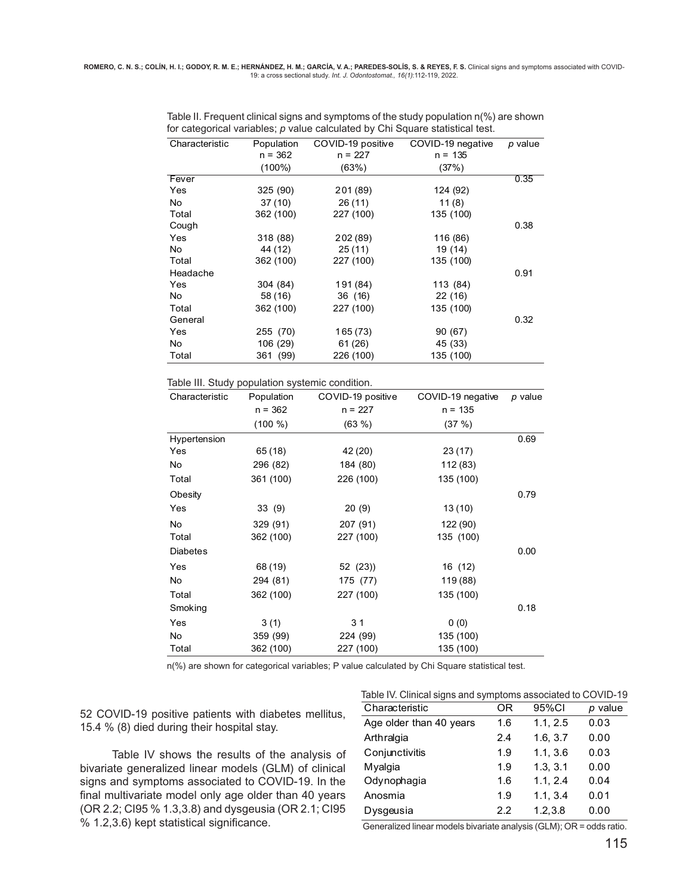|           |            |           | p value                                |
|-----------|------------|-----------|----------------------------------------|
| $n = 362$ | $n = 227$  | $n = 135$ |                                        |
| $(100\%)$ | (63%)      | (37%)     |                                        |
|           |            |           | 0.35                                   |
| 325(90)   | 201 (89)   | 124 (92)  |                                        |
| 37(10)    | 26(11)     | 11(8)     |                                        |
| 362 (100) | 227 (100)  | 135 (100) |                                        |
|           |            |           | 0.38                                   |
| 318 (88)  | 202 (89)   | 116 (86)  |                                        |
| 44 (12)   | 25(11)     | 19 (14)   |                                        |
| 362 (100) | 227 (100)  | 135 (100) |                                        |
|           |            |           | 0.91                                   |
| 304 (84)  | 191 (84)   | 113 (84)  |                                        |
| 58 (16)   | 36 (16)    | 22 (16)   |                                        |
| 362 (100) | 227 (100)  | 135 (100) |                                        |
|           |            |           | 0.32                                   |
| 255 (70)  | 165 (73)   | 90 (67)   |                                        |
| 106 (29)  | 61(26)     | 45 (33)   |                                        |
| 361 (99)  | 226 (100)  | 135 (100) |                                        |
|           | Population |           | COVID-19 positive<br>COVID-19 negative |

Table II. Frequent clinical signs and symptoms of the study population n(%) are shown for categorical variables; p value calculated by Chi Square statistical test.

Table III. Study population systemic condition.

| Characteristic  | Population | COVID-19 positive | COVID-19 negative | $p$ value |
|-----------------|------------|-------------------|-------------------|-----------|
|                 | $n = 362$  | $n = 227$         | $n = 135$         |           |
|                 | (100 %)    | (63%)             | (37%)             |           |
| Hypertension    |            |                   |                   | 0.69      |
| Yes             | 65 (18)    | 42 (20)           | 23(17)            |           |
| No              | 296 (82)   | 184 (80)          | 112 (83)          |           |
| Total           | 361 (100)  | 226 (100)         | 135 (100)         |           |
| Obesity         |            |                   |                   | 0.79      |
| Yes             | 33(9)      | 20(9)             | 13(10)            |           |
| No              | 329 (91)   | 207 (91)          | 122 (90)          |           |
| Total           | 362 (100)  | 227 (100)         | 135 (100)         |           |
| <b>Diabetes</b> |            |                   |                   | 0.00      |
| Yes             | 68 (19)    | 52(23)            | 16 (12)           |           |
| No              | 294 (81)   | 175 (77)          | 119 (88)          |           |
| Total           | 362 (100)  | 227 (100)         | 135 (100)         |           |
| Smoking         |            |                   |                   | 0.18      |
| Yes             | 3(1)       | 3 <sub>1</sub>    | 0(0)              |           |
| No              | 359 (99)   | 224 (99)          | 135 (100)         |           |
| Total           | 362 (100)  | 227 (100)         | 135 (100)         |           |
|                 |            |                   |                   |           |

n(%) are shown for categorical variables; P value calculated by Chi Square statistical test.

52 COVID-19 positive patients with diabetes mellitus, 15.4 % (8) died during their hospital stay.

Table IV shows the results of the analysis of bivariate generalized linear models (GLM) of clinical signs and symptoms associated to COVID-19. In the final multivariate model only age older than 40 years (OR 2.2; CI95 % 1.3,3.8) and dysgeusia (OR 2.1; CI95 % 1.2,3.6) kept statistical significance.

| Table IV. Clinical signs and symptoms associated to COVID-19 |     |          |           |  |  |  |
|--------------------------------------------------------------|-----|----------|-----------|--|--|--|
| Characteristic                                               | OR  | 95%CI    | $p$ value |  |  |  |
| Age older than 40 years                                      | 1.6 | 1.1, 2.5 | 0.03      |  |  |  |
| Arthralgia                                                   | 2.4 | 1.6, 3.7 | 0.00      |  |  |  |
| Conjunctivitis                                               | 1.9 | 1.1, 3.6 | 0.03      |  |  |  |
| Myalgia                                                      | 1.9 | 1.3.3.1  | 0.00      |  |  |  |
| Odynophagia                                                  | 1.6 | 1.1, 2.4 | 0.04      |  |  |  |
| Anosmia                                                      | 1.9 | 1.1, 3.4 | 0.01      |  |  |  |
| Dysgeusia                                                    | 2.2 | 1.2.3.8  | 0.00      |  |  |  |

Generalized linear models bivariate analysis (GLM); OR = odds ratio.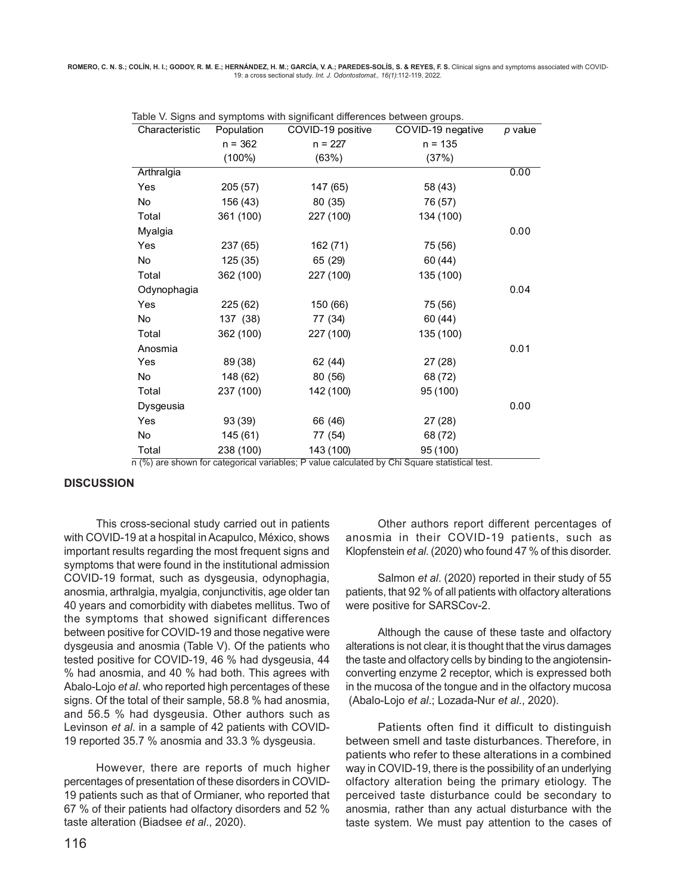ROMERO, C. N. S.; COLÍN, H. I.; GODOY, R. M. E.; HERNÁNDEZ, H. M.; GARCÍA, V. A.; PAREDES-SOLÍS, S. & REYES, F. S. Clinical signs and symptoms associated with COVID-19: a cross sectional study. Int. J. Odontostomat., 16(1):112-119, 2022.

| Characteristic | Population | COVID-19 positive | COVID-19 negative | p value |
|----------------|------------|-------------------|-------------------|---------|
|                | $n = 362$  | $n = 227$         | $n = 135$         |         |
|                | $(100\%)$  | (63%)             | (37%)             |         |
| Arthralgia     |            |                   |                   | 0.00    |
| Yes            | 205 (57)   | 147 (65)          | 58 (43)           |         |
| <b>No</b>      | 156 (43)   | 80 (35)           | 76 (57)           |         |
| Total          | 361 (100)  | 227 (100)         | 134 (100)         |         |
| Myalgia        |            |                   |                   | 0.00    |
| Yes            | 237 (65)   | 162 (71)          | 75 (56)           |         |
| No.            | 125 (35)   | 65 (29)           | 60 (44)           |         |
| Total          | 362 (100)  | 227 (100)         | 135 (100)         |         |
| Odynophagia    |            |                   |                   | 0.04    |
| Yes            | 225 (62)   | 150 (66)          | 75 (56)           |         |
| No.            | 137 (38)   | 77 (34)           | 60 (44)           |         |
| Total          | 362 (100)  | 227 (100)         | 135 (100)         |         |
| Anosmia        |            |                   |                   | 0.01    |
| Yes            | 89 (38)    | 62 (44)           | 27 (28)           |         |
| No             | 148 (62)   | 80 (56)           | 68 (72)           |         |
| Total          | 237 (100)  | 142 (100)         | 95 (100)          |         |
| Dysgeusia      |            |                   |                   | 0.00    |
| Yes            | 93 (39)    | 66 (46)           | 27(28)            |         |
| No             | 145 (61)   | 77 (54)           | 68 (72)           |         |
| Total<br>(0)   | 238 (100)  | 143 (100)         | 95 (100)          |         |

|  |  | Table V. Signs and symptoms with significant differences between groups. |
|--|--|--------------------------------------------------------------------------|
|  |  |                                                                          |

n (%) are shown for categorical variables; P value calculated by Chi Square statistical test.

#### **DISCUSSION**

This cross-secional study carried out in patients with COVID-19 at a hospital in Acapulco, México, shows important results regarding the most frequent signs and symptoms that were found in the institutional admission COVID-19 format, such as dysgeusia, odynophagia, anosmia, arthralgia, myalgia, conjunctivitis, age older tan 40 years and comorbidity with diabetes mellitus. Two of the symptoms that showed significant differences between positive for COVID-19 and those negative were dysgeusia and anosmia (Table V). Of the patients who tested positive for COVID-19, 46 % had dysgeusia, 44 % had anosmia, and 40 % had both. This agrees with Abalo-Lojo et al. who reported high percentages of these signs. Of the total of their sample, 58.8 % had anosmia, and 56.5 % had dysgeusia. Other authors such as Levinson et al. in a sample of 42 patients with COVID-19 reported 35.7 % anosmia and 33.3 % dysgeusia.

However, there are reports of much higher percentages of presentation of these disorders in COVID-19 patients such as that of Ormianer, who reported that 67 % of their patients had olfactory disorders and 52 % taste alteration (Biadsee et al., 2020).

Other authors report different percentages of anosmia in their COVID-19 patients, such as Klopfenstein et al. (2020) who found 47 % of this disorder.

Salmon et al. (2020) reported in their study of 55 patients, that 92 % of all patients with olfactory alterations were positive for SARSCov-2.

Although the cause of these taste and olfactory alterations is not clear, it is thought that the virus damages the taste and olfactory cells by binding to the angiotensinconverting enzyme 2 receptor, which is expressed both in the mucosa of the tongue and in the olfactory mucosa (Abalo-Lojo et al.; Lozada-Nur et al., 2020).

Patients often find it difficult to distinguish between smell and taste disturbances. Therefore, in patients who refer to these alterations in a combined way in COVID-19, there is the possibility of an underlying olfactory alteration being the primary etiology. The perceived taste disturbance could be secondary to anosmia, rather than any actual disturbance with the taste system. We must pay attention to the cases of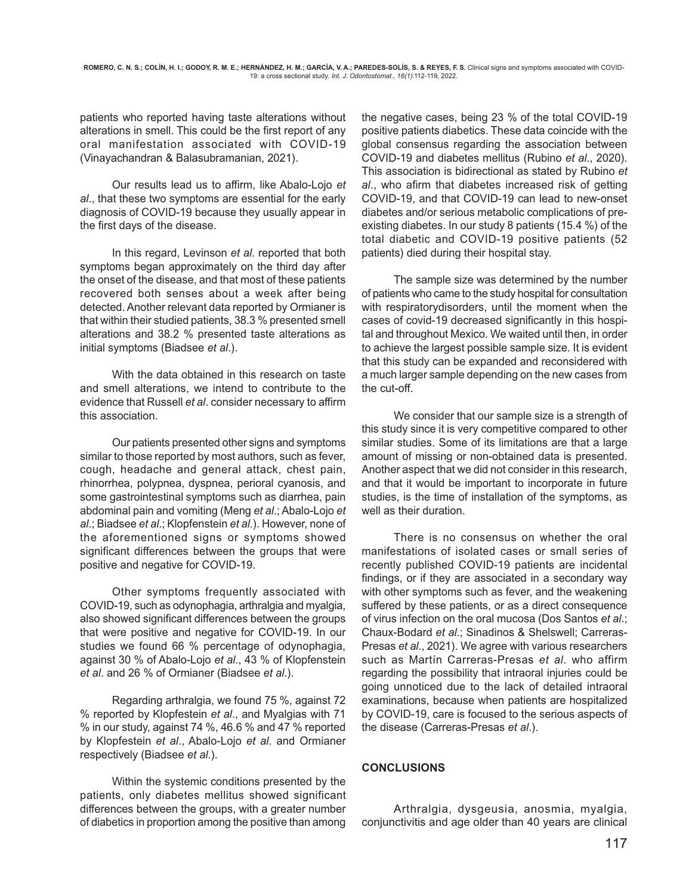patients who reported having taste alterations without alterations in smell. This could be the first report of any oral manifestation associated with COVID-19 (Vinayachandran & Balasubramanian, 2021).

Our results lead us to affirm, like Abalo-Lojo et al., that these two symptoms are essential for the early diagnosis of COVID-19 because they usually appear in the first days of the disease.

In this regard, Levinson et al. reported that both symptoms began approximately on the third day after the onset of the disease, and that most of these patients recovered both senses about a week after being detected. Another relevant data reported by Ormianer is that within their studied patients, 38.3 % presented smell alterations and 38.2 % presented taste alterations as initial symptoms (Biadsee et al.).

With the data obtained in this research on taste and smell alterations, we intend to contribute to the evidence that Russell et al. consider necessary to affirm this association.

Our patients presented other signs and symptoms similar to those reported by most authors, such as fever, cough, headache and general attack, chest pain, rhinorrhea, polypnea, dyspnea, perioral cyanosis, and some gastrointestinal symptoms such as diarrhea, pain abdominal pain and vomiting (Meng et al.; Abalo-Lojo et al.; Biadsee et al.; Klopfenstein et al.). However, none of the aforementioned signs or symptoms showed significant differences between the groups that were positive and negative for COVID-19.

Other symptoms frequently associated with COVID-19, such as odynophagia, arthralgia and myalgia, also showed significant differences between the groups that were positive and negative for COVID-19. In our studies we found 66 % percentage of odynophagia, against 30 % of Abalo-Lojo et al., 43 % of Klopfenstein et al. and 26 % of Ormianer (Biadsee et al.).

Regarding arthralgia, we found 75 %, against 72 % reported by Klopfestein et al., and Myalgias with 71 % in our study, against 74 %, 46.6 % and 47 % reported by Klopfestein et al., Abalo-Lojo et al. and Ormianer respectively (Biadsee et al.).

 Within the systemic conditions presented by the patients, only diabetes mellitus showed significant differences between the groups, with a greater number of diabetics in proportion among the positive than among

the negative cases, being 23 % of the total COVID-19 positive patients diabetics. These data coincide with the global consensus regarding the association between COVID-19 and diabetes mellitus (Rubino et al., 2020). This association is bidirectional as stated by Rubino et al., who afirm that diabetes increased risk of getting COVID-19, and that COVID-19 can lead to new-onset diabetes and/or serious metabolic complications of preexisting diabetes. In our study 8 patients (15.4 %) of the total diabetic and COVID-19 positive patients (52 patients) died during their hospital stay.

The sample size was determined by the number of patients who came to the study hospital for consultation with respiratorydisorders, until the moment when the cases of covid-19 decreased significantly in this hospital and throughout Mexico. We waited until then, in order to achieve the largest possible sample size. It is evident that this study can be expanded and reconsidered with a much larger sample depending on the new cases from the cut-off.

We consider that our sample size is a strength of this study since it is very competitive compared to other similar studies. Some of its limitations are that a large amount of missing or non-obtained data is presented. Another aspect that we did not consider in this research, and that it would be important to incorporate in future studies, is the time of installation of the symptoms, as well as their duration.

There is no consensus on whether the oral manifestations of isolated cases or small series of recently published COVID-19 patients are incidental findings, or if they are associated in a secondary way with other symptoms such as fever, and the weakening suffered by these patients, or as a direct consequence of virus infection on the oral mucosa (Dos Santos et al.; Chaux-Bodard et al.; Sinadinos & Shelswell; Carreras-Presas et al., 2021). We agree with various researchers such as Martín Carreras-Presas et al. who affirm regarding the possibility that intraoral injuries could be going unnoticed due to the lack of detailed intraoral examinations, because when patients are hospitalized by COVID-19, care is focused to the serious aspects of the disease (Carreras-Presas et al.).

# **CONCLUSIONS**

Arthralgia, dysgeusia, anosmia, myalgia, conjunctivitis and age older than 40 years are clinical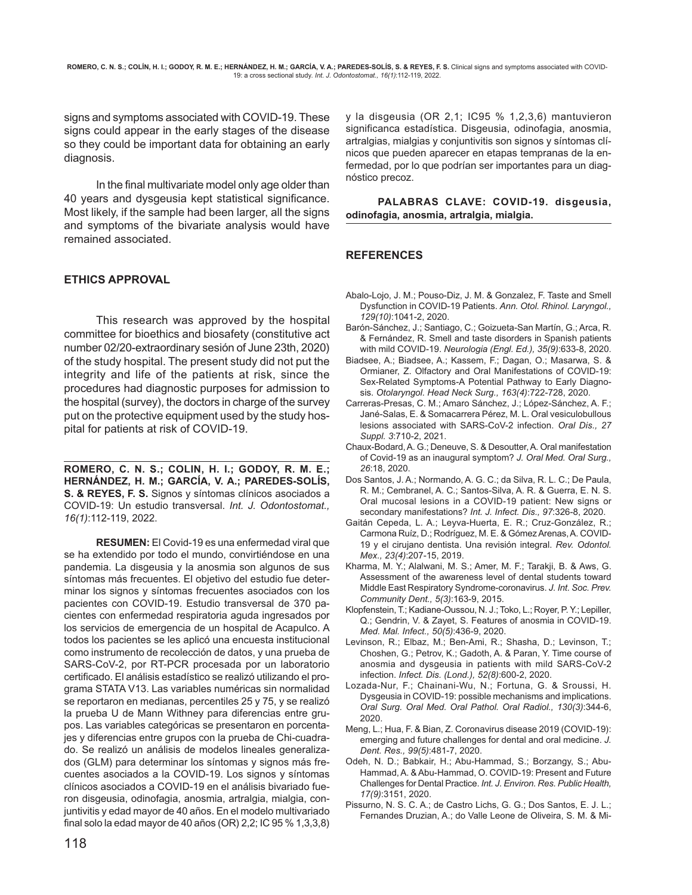signs and symptoms associated with COVID-19. These signs could appear in the early stages of the disease so they could be important data for obtaining an early diagnosis.

In the final multivariate model only age older than 40 years and dysgeusia kept statistical significance. Most likely, if the sample had been larger, all the signs and symptoms of the bivariate analysis would have remained associated.

## **ETHICS APPROVAL**

This research was approved by the hospital committee for bioethics and biosafety (constitutive act number 02/20-extraordinary sesión of June 23th, 2020) of the study hospital. The present study did not put the integrity and life of the patients at risk, since the procedures had diagnostic purposes for admission to the hospital (survey), the doctors in charge of the survey put on the protective equipment used by the study hospital for patients at risk of COVID-19.

**ROMERO, C. N. S.; COLIN, H. I.; GODOY, R. M. E.; HERNÁNDEZ, H. M.; GARCÍA, V. A.; PAREDES-SOLÍS, S. & REYES, F. S.** Signos y síntomas clínicos asociados a COVID-19: Un estudio transversal. Int. J. Odontostomat., 16(1):112-119, 2022.

**RESUMEN:** El Covid-19 es una enfermedad viral que se ha extendido por todo el mundo, convirtiéndose en una pandemia. La disgeusia y la anosmia son algunos de sus síntomas más frecuentes. El objetivo del estudio fue determinar los signos y síntomas frecuentes asociados con los pacientes con COVID-19. Estudio transversal de 370 pacientes con enfermedad respiratoria aguda ingresados por los servicios de emergencia de un hospital de Acapulco. A todos los pacientes se les aplicó una encuesta institucional como instrumento de recolección de datos, y una prueba de SARS-CoV-2, por RT-PCR procesada por un laboratorio certificado. El análisis estadístico se realizó utilizando el programa STATA V13. Las variables numéricas sin normalidad se reportaron en medianas, percentiles 25 y 75, y se realizó la prueba U de Mann Withney para diferencias entre grupos. Las variables categóricas se presentaron en porcentajes y diferencias entre grupos con la prueba de Chi-cuadrado. Se realizó un análisis de modelos lineales generalizados (GLM) para determinar los síntomas y signos más frecuentes asociados a la COVID-19. Los signos y síntomas clínicos asociados a COVID-19 en el análisis bivariado fueron disgeusia, odinofagia, anosmia, artralgia, mialgia, conjuntivitis y edad mayor de 40 años. En el modelo multivariado final solo la edad mayor de 40 años (OR) 2,2; IC 95 % 1,3,3,8)

y la disgeusia (OR 2,1; IC95 % 1,2,3,6) mantuvieron significanca estadística. Disgeusia, odinofagia, anosmia, artralgias, mialgias y conjuntivitis son signos y síntomas clínicos que pueden aparecer en etapas tempranas de la enfermedad, por lo que podrían ser importantes para un diagnóstico precoz.

**PALABRAS CLAVE: COVID-19. disgeusia, odinofagia, anosmia, artralgia, mialgia.**

## **REFERENCES**

- Abalo-Lojo, J. M.; Pouso-Diz, J. M. & Gonzalez, F. Taste and Smell Dysfunction in COVID-19 Patients. Ann. Otol. Rhinol. Laryngol., 129(10):1041-2, 2020.
- Barón-Sánchez, J.; Santiago, C.; Goizueta-San Martín, G.; Arca, R. & Fernández, R. Smell and taste disorders in Spanish patients with mild COVID-19. Neurologia (Engl. Ed.), 35(9):633-8, 2020.
- Biadsee, A.; Biadsee, A.; Kassem, F.; Dagan, O.; Masarwa, S. & Ormianer, Z. Olfactory and Oral Manifestations of COVID-19: Sex-Related Symptoms-A Potential Pathway to Early Diagnosis. Otolaryngol. Head Neck Surg., 163(4):722-728, 2020.
- Carreras-Presas, C. M.; Amaro Sánchez, J.; López-Sánchez, A. F.; Jané-Salas, E. & Somacarrera Pérez, M. L. Oral vesiculobullous lesions associated with SARS-CoV-2 infection. Oral Dis., 27 Suppl. 3:710-2, 2021.
- Chaux-Bodard, A. G.; Deneuve, S. & Desoutter, A. Oral manifestation of Covid-19 as an inaugural symptom? J. Oral Med. Oral Surg., 26:18, 2020.
- Dos Santos, J. A.; Normando, A. G. C.; da Silva, R. L. C.; De Paula, R. M.; Cembranel, A. C.; Santos-Silva, A. R. & Guerra, E. N. S. Oral mucosal lesions in a COVID-19 patient: New signs or secondary manifestations? Int. J. Infect. Dis., 97:326-8, 2020.
- Gaitán Cepeda, L. A.; Leyva-Huerta, E. R.; Cruz-González, R.; Carmona Ruíz, D.; Rodríguez, M. E. & Gómez Arenas, A. COVID-19 y el cirujano dentista. Una revisión integral. Rev. Odontol. Mex., 23(4):207-15, 2019.
- Kharma, M. Y.; Alalwani, M. S.; Amer, M. F.; Tarakji, B. & Aws, G. Assessment of the awareness level of dental students toward Middle East Respiratory Syndrome-coronavirus. J. Int. Soc. Prev. Community Dent., 5(3):163-9, 2015.
- Klopfenstein, T.; Kadiane-Oussou, N. J.; Toko, L.; Royer, P. Y.; Lepiller, Q.; Gendrin, V. & Zayet, S. Features of anosmia in COVID-19. Med. Mal. Infect., 50(5):436-9, 2020.
- Levinson, R.; Elbaz, M.; Ben-Ami, R.; Shasha, D.; Levinson, T.; Choshen, G.; Petrov, K.; Gadoth, A. & Paran, Y. Time course of anosmia and dysgeusia in patients with mild SARS-CoV-2 infection. Infect. Dis. (Lond.), 52(8):600-2, 2020.
- Lozada-Nur, F.; Chainani-Wu, N.; Fortuna, G. & Sroussi, H. Dysgeusia in COVID-19: possible mechanisms and implications. Oral Surg. Oral Med. Oral Pathol. Oral Radiol., 130(3):344-6, 2020.
- Meng, L.; Hua, F. & Bian, Z. Coronavirus disease 2019 (COVID-19): emerging and future challenges for dental and oral medicine. J. Dent. Res., 99(5):481-7, 2020.
- Odeh, N. D.; Babkair, H.; Abu-Hammad, S.; Borzangy, S.; Abu-Hammad, A. & Abu-Hammad, O. COVID-19: Present and Future Challenges for Dental Practice. Int. J. Environ. Res. Public Health, 17(9):3151, 2020.
- Pissurno, N. S. C. A.; de Castro Lichs, G. G.; Dos Santos, E. J. L.; Fernandes Druzian, A.; do Valle Leone de Oliveira, S. M. & Mi-